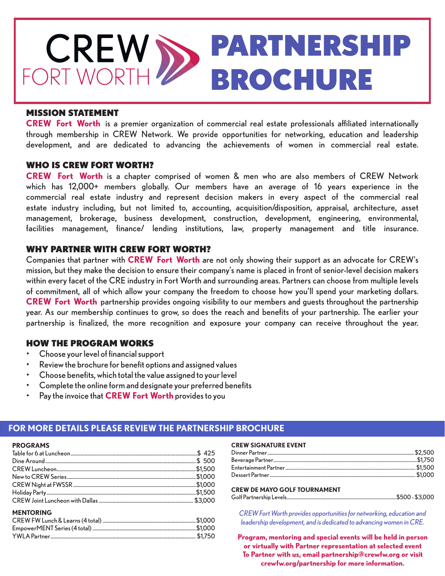

### MISSION STATEMENT

**CREW Fort Worth** is a premier organization of commercial real estate professionals affiliated internationally through membership in CREW Network. We provide opportunities for networking, education and leadership development, and are dedicated to advancing the achievements of women in commercial real estate.

### WHO IS CREW FORT WORTH?

**CREW Fort Worth** is a chapter comprised of women & men who are also members of CREW Network which has 12,000+ members globally. Our members have an average of 16 years experience in the commercial real estate industry and represent decision makers in every aspect of the commercial real estate industry including, but not limited to, accounting, acquisition/disposition, appraisal, architecture, asset management, brokerage, business development, construction, development, engineering, environmental, facilities management, finance/ lending institutions, law, property management and title insurance.

## WHY PARTNER WITH CREW FORT WORTH?

Companies that partner with **CREW Fort Worth** are not only showing their support as an advocate for CREW's mission, but they make the decision to ensure their company's name is placed in front of senior-level decision makers within every facet of the CRE industry in Fort Worth and surrounding areas. Partners can choose from multiple levels of commitment, all of which allow your company the freedom to choose how you'll spend your marketing dollars. **CREW Fort Worth** partnership provides ongoing visibility to our members and guests throughout the partnership year. As our membership continues to grow, so does the reach and benefits of your partnership. The earlier your partnership is finalized, the more recognition and exposure your company can receive throughout the year.

# HOW THE PROGRAM WORKS

- Choose your level of financial support
- Review the brochure for benefit options and assigned values
- Choose benefits, which total the value assigned to your level
- Complete the online form and designate your preferred benefits
- Pay the invoice that **CREW Fort Worth** provides to you

## **FOR MORE DETAILS PLEASE REVIEW THE PARTNERSHIP BROCHURE**

| <b>PROGRAMS</b> |  |                      |  |
|-----------------|--|----------------------|--|
|                 |  | Table for 6 at Lunch |  |

**PROGRAMS**

| <b>MENTORING</b> |  |
|------------------|--|
|                  |  |
|                  |  |

YWLA Partner.................................................................................................................. \$1,750

### **CREW SIGNATURE EVENT**

#### **CREW DE MAYO GOLF TOURNAMENT** Golf Partnership Levels...........................................................................................\$500 - \$3,000

*CREW Fort Worth provides opportunities for networking, education and* 

*leadership development, and is dedicated to advancing women in CRE.*  **Program, mentoring and special events will be held in person** 

**or virtually with Partner representation at selected event To Partner with us, email partnership@crewfw.org or visit crewfw.org/partnership for more information.**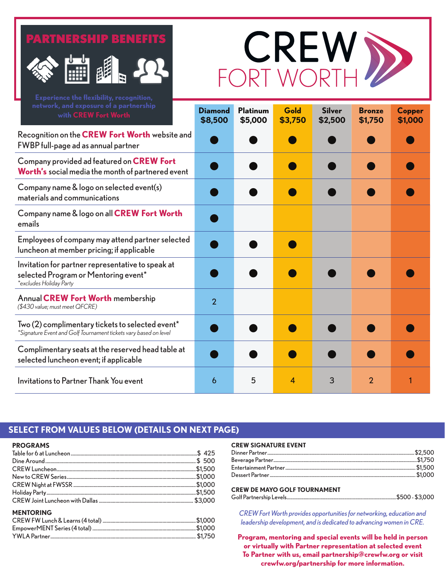# PARTNERSHIP BENEFITS





| network, and exposure of a partnership<br>with CREW Fort Worth                                                       | <b>Diamond</b><br>\$8,500 | <b>Platinum</b><br>\$5,000 | Gold<br>\$3,750 | <b>Silver</b><br>\$2,500 | <b>Bronze</b><br>\$1,750 | Copper<br>\$1,000 |
|----------------------------------------------------------------------------------------------------------------------|---------------------------|----------------------------|-----------------|--------------------------|--------------------------|-------------------|
| Recognition on the CREW Fort Worth website and<br>FWBP full-page ad as annual partner                                |                           |                            |                 |                          |                          |                   |
| Company provided ad featured on CREW Fort<br>Worth's social media the month of partnered event                       |                           |                            |                 |                          |                          |                   |
| Company name & logo on selected event(s)<br>materials and communications                                             |                           |                            |                 |                          |                          |                   |
| Company name & logo on all CREW Fort Worth<br>emails                                                                 |                           |                            |                 |                          |                          |                   |
| Employees of company may attend partner selected<br>luncheon at member pricing; if applicable                        |                           |                            |                 |                          |                          |                   |
| Invitation for partner representative to speak at<br>selected Program or Mentoring event*<br>*excludes Holiday Party |                           |                            |                 |                          |                          |                   |
| <b>Annual CREW Fort Worth membership</b><br>(\$430 value; must meet QFCRE)                                           | $\overline{2}$            |                            |                 |                          |                          |                   |
| Two (2) complimentary tickets to selected event*<br>*Signature Event and Golf Tournament tickets vary based on level |                           |                            |                 |                          |                          |                   |
| Complimentary seats at the reserved head table at<br>selected luncheon event; if applicable                          |                           |                            |                 |                          |                          |                   |
| Invitations to Partner Thank You event                                                                               | 6                         | 5                          | 4               | 3                        | $\overline{2}$           |                   |

# **SELECT FROM VALUES BELOW (DETAILS ON NEXT PAGE)**

**PROGRAMS**

| <b>MENTORING</b> |  |
|------------------|--|
|                  |  |
|                  |  |

YWLA Partner.................................................................................................................. \$1,750

#### **CREW SIGNATURE EVENT**

#### **CREW DE MAYO GOLF TOURNAMENT** Golf Partnership Levels...........................................................................................\$500 - \$3,000

*CREW Fort Worth provides opportunities for networking, education and leadership development, and is dedicated to advancing women in CRE.* 

**Program, mentoring and special events will be held in person or virtually with Partner representation at selected event To Partner with us, email partnership@crewfw.org or visit crewfw.org/partnership for more information.**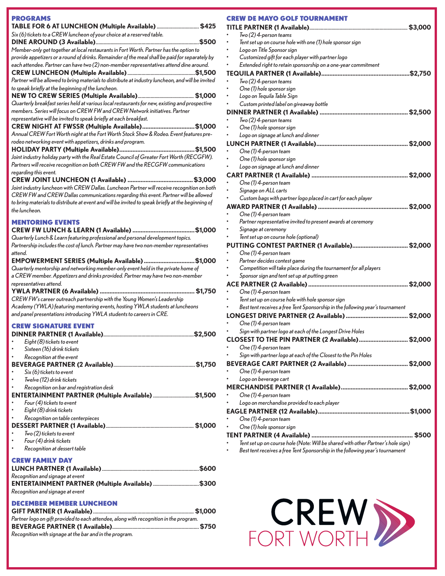| <b>PROGRAMS</b>                                                                                                                                                              |
|------------------------------------------------------------------------------------------------------------------------------------------------------------------------------|
| TABLE FOR 6 AT LUNCHEON (Multiple Available) \$425                                                                                                                           |
| Six (6) tickets to a CREW luncheon of your choice at a reserved table.                                                                                                       |
| Member-only get together at local restaurants in Fort Worth. Partner has the option to                                                                                       |
| provide appetizers or a round of drinks. Remainder of the meal shall be paid for separately by                                                                               |
| each attendee. Partner can have two (2) non-member representatives attend dine around.                                                                                       |
| Partner will be allowed to bring materials to distribute at industry luncheon, and will be invited                                                                           |
| to speak briefly at the beginning of the luncheon.                                                                                                                           |
|                                                                                                                                                                              |
| Quarterly breakfast series held at various local restaurants for new, existing and prospective                                                                               |
| members. Series will focus on CREW FW and CREW Network initiatives. Partner                                                                                                  |
| representative will be invited to speak briefly at each breakfast.<br>CREW NIGHT AT FWSSR (Multiple Available)\$1,000                                                        |
| Annual CREW Fort Worth night at the Fort Worth Stock Show & Rodeo. Event features pre-                                                                                       |
| rodeo networking event with appetizers, drinks and program.                                                                                                                  |
|                                                                                                                                                                              |
| Joint industry holiday party with the Real Estate Council of Greater Fort Worth (RECGFW).<br>Partners will receive recognition on both CREW FW and the RECGFW communications |
| regarding this event.                                                                                                                                                        |
|                                                                                                                                                                              |
| Joint industry luncheon with CREW Dallas. Luncheon Partner will receive recognition on both                                                                                  |
| CREW FW and CREW Dallas communications regarding this event. Partner will be allowed                                                                                         |
| to bring materials to distribute at event and will be invited to speak briefly at the beginning of<br>the luncheon.                                                          |
|                                                                                                                                                                              |
| <b>MENTORING EVENTS</b>                                                                                                                                                      |
| Quarterly Lunch & Learn featuring professional and personal development topics.                                                                                              |
| Partnership includes the cost of lunch. Partner may have two non-member representatives                                                                                      |
| attend.                                                                                                                                                                      |
| EMPOWERMENT SERIES (Multiple Available)\$1,000<br>Quarterly mentorship and networking member-only event held in the private home of                                          |
| a CREW member. Appetizers and drinks provided. Partner may have two non-member                                                                                               |
| representatives attend.                                                                                                                                                      |
|                                                                                                                                                                              |
| CREW FW's career outreach partnership with the Young Women's Leadership<br>Academy (YWLA) featuring mentoring events, hosting YWLA students at luncheons                     |
| and panel presentations introducing YWLA students to careers in CRE.                                                                                                         |
| <b>CREW SIGNATURE EVENT</b>                                                                                                                                                  |
|                                                                                                                                                                              |
| Eight (8) tickets to event                                                                                                                                                   |
| Sixteen (16) drink tickets                                                                                                                                                   |
| Recognition at the event                                                                                                                                                     |
| Six (6) tickets to event                                                                                                                                                     |
| Twelve (12) drink tickets                                                                                                                                                    |
| Recognition on bar and registration desk                                                                                                                                     |
| ENTERTAINMENT PARTNER (Multiple Available) \$1,500                                                                                                                           |
| Four (4) tickets to event<br>Eight (8) drink tickets                                                                                                                         |
| Recognition on table centerpieces                                                                                                                                            |
|                                                                                                                                                                              |
| Two (2) tickets to event                                                                                                                                                     |
| Four (4) drink tickets                                                                                                                                                       |
| Recognition at dessert table                                                                                                                                                 |
| <b>CREW FAMILY DAY</b>                                                                                                                                                       |
| Recognition and signage at event                                                                                                                                             |
| ENTERTAINMENT PARTNER (Multiple Available) \$300                                                                                                                             |
| Recognition and signage at event                                                                                                                                             |
| <b>DECEMBER MEMBER LUNCHEON</b>                                                                                                                                              |
|                                                                                                                                                                              |
| Partner logo on gift provided to each attendee, along with recognition in the program.                                                                                       |
|                                                                                                                                                                              |

*Recognition with signage at the bar and in the program.*

|   | <b>CREW DE MAYO GOLF TOURNAMENT</b>                                              |
|---|----------------------------------------------------------------------------------|
|   |                                                                                  |
|   | $Two (2)$ 4-person teams                                                         |
|   | Tent set up on course hole with one (1) hole sponsor sign                        |
|   | Logo on Title Sponsor sign                                                       |
|   | Customized gift for each player with partner logo                                |
|   | Extended right to retain sponsorship on a one-year commitment                    |
|   | \$2,750                                                                          |
| ٠ | $Two (2)$ 4-person teams                                                         |
|   | One (1) hole sponsor sign                                                        |
|   | Logo on Tequila Table Sign                                                       |
|   | Custom printed label on giveaway bottle                                          |
|   |                                                                                  |
|   | $Two (2)$ 4-person teams                                                         |
|   | One (1) hole sponsor sign                                                        |
|   | Logo on signage at lunch and dinner                                              |
|   |                                                                                  |
| ٠ | One (1) 4-person team                                                            |
| ٠ | One (1) hole sponsor sign                                                        |
|   |                                                                                  |
|   | Logo on signage at lunch and dinner                                              |
|   |                                                                                  |
| ۰ | One (1) 4-person team                                                            |
| ٠ | Signage on ALL carts                                                             |
|   | Custom bags with partner logo placed in cart for each player                     |
|   | \$2,000                                                                          |
|   | One (1) 4-person team                                                            |
| ٠ | Partner representative invited to present awards at ceremony                     |
|   | Signage at ceremony                                                              |
|   | Tent set up on course hole (optional)                                            |
|   | PUTTING CONTEST PARTNER (1 Available)\$2,000                                     |
|   | One (1) 4-person team                                                            |
| ۰ | Partner decides contest game                                                     |
|   | Competition will take place during the tournament for all players                |
|   | Sponsor sign and tent set up at putting green                                    |
|   |                                                                                  |
|   | One (1) 4-person team                                                            |
| ٠ | Tent set up on course hole with hole sponsor sign                                |
| ٠ | Best tent receives a free Tent Sponsorship in the following year's tournament    |
|   |                                                                                  |
|   | One (1) 4-person team                                                            |
| ٠ | Sign with partner logo at each of the Longest Drive Holes                        |
|   | CLOSEST TO THE PIN PARTNER (2 Available)<br>\$2,000                              |
| ٠ | One (1) 4-person team                                                            |
|   | Sign with partner logo at each of the Closest to the Pin Holes                   |
|   |                                                                                  |
|   |                                                                                  |
|   | One (1) 4-person team                                                            |
|   | Logo on beverage cart                                                            |
|   |                                                                                  |
|   | One (1) 4-person team                                                            |
|   | Logo on merchandise provided to each player                                      |
|   |                                                                                  |
|   | One (1) 4-person team                                                            |
|   | One (1) hole sponsor sign                                                        |
|   |                                                                                  |
|   | Tent set up on course hole (Note: Will be shared with other Partner's hole sign) |
|   | Best tent receives a free Tent Sponsorship in the following year's tournament    |